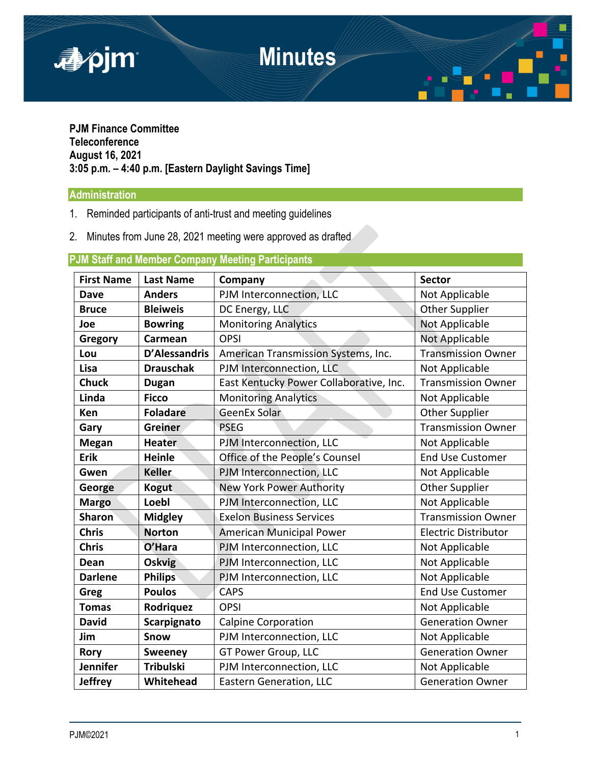

### **PJM Finance Committee Teleconference August 16, 2021 3:05 p.m. – 4:40 p.m. [Eastern Daylight Savings Time]**

# **Administration**

- 1. Reminded participants of anti-trust and meeting guidelines
- 2. Minutes from June 28, 2021 meeting were approved as drafted

## **PJM Staff and Member Company Meeting Participants**

| <b>First Name</b> | <b>Last Name</b>     | Company                                 | <b>Sector</b>               |
|-------------------|----------------------|-----------------------------------------|-----------------------------|
| <b>Dave</b>       | <b>Anders</b>        | PJM Interconnection, LLC                | Not Applicable              |
| <b>Bruce</b>      | <b>Bleiweis</b>      | DC Energy, LLC                          | <b>Other Supplier</b>       |
| Joe               | <b>Bowring</b>       | <b>Monitoring Analytics</b>             | Not Applicable              |
| Gregory           | Carmean              | <b>OPSI</b>                             | <b>Not Applicable</b>       |
| Lou               | <b>D'Alessandris</b> | American Transmission Systems, Inc.     | <b>Transmission Owner</b>   |
| Lisa              | <b>Drauschak</b>     | PJM Interconnection, LLC                | Not Applicable              |
| <b>Chuck</b>      | <b>Dugan</b>         | East Kentucky Power Collaborative, Inc. | <b>Transmission Owner</b>   |
| Linda             | <b>Ficco</b>         | <b>Monitoring Analytics</b>             | Not Applicable              |
| Ken               | <b>Foladare</b>      | <b>GeenEx Solar</b>                     | <b>Other Supplier</b>       |
| Gary              | <b>Greiner</b>       | <b>PSEG</b>                             | <b>Transmission Owner</b>   |
| <b>Megan</b>      | <b>Heater</b>        | PJM Interconnection, LLC                | Not Applicable              |
| Erik              | <b>Heinle</b>        | Office of the People's Counsel          | <b>End Use Customer</b>     |
| Gwen              | <b>Keller</b>        | PJM Interconnection, LLC                | Not Applicable              |
| George            | <b>Kogut</b>         | New York Power Authority                | <b>Other Supplier</b>       |
| <b>Margo</b>      | Loebl                | PJM Interconnection, LLC                | Not Applicable              |
| <b>Sharon</b>     | <b>Midgley</b>       | <b>Exelon Business Services</b>         | <b>Transmission Owner</b>   |
| <b>Chris</b>      | <b>Norton</b>        | <b>American Municipal Power</b>         | <b>Electric Distributor</b> |
| <b>Chris</b>      | O'Hara               | PJM Interconnection, LLC                | Not Applicable              |
| Dean              | <b>Oskvig</b>        | PJM Interconnection, LLC                | Not Applicable              |
| <b>Darlene</b>    | <b>Philips</b>       | PJM Interconnection, LLC                | Not Applicable              |
| Greg              | <b>Poulos</b>        | <b>CAPS</b>                             | <b>End Use Customer</b>     |
| <b>Tomas</b>      | Rodriguez            | <b>OPSI</b>                             | Not Applicable              |
| <b>David</b>      | Scarpignato          | <b>Calpine Corporation</b>              | <b>Generation Owner</b>     |
| Jim               | Snow                 | PJM Interconnection, LLC                | Not Applicable              |
| <b>Rory</b>       | <b>Sweeney</b>       | <b>GT Power Group, LLC</b>              | <b>Generation Owner</b>     |
| <b>Jennifer</b>   | <b>Tribulski</b>     | PJM Interconnection, LLC                | Not Applicable              |
| <b>Jeffrey</b>    | Whitehead            | <b>Eastern Generation, LLC</b>          | <b>Generation Owner</b>     |